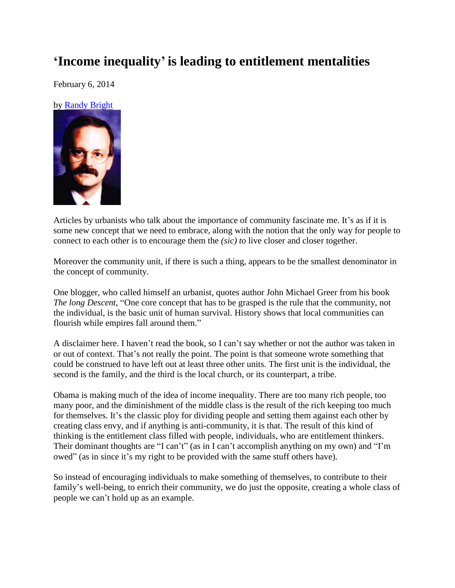## **'Income inequality' is leading to entitlement mentalities**

February 6, 2014

by [Randy Bright](http://tulsabeacon.com/writers/randy-bright/)



Articles by urbanists who talk about the importance of community fascinate me. It's as if it is some new concept that we need to embrace, along with the notion that the only way for people to connect to each other is to encourage them the *(sic) to* live closer and closer together.

Moreover the community unit, if there is such a thing, appears to be the smallest denominator in the concept of community.

One blogger, who called himself an urbanist, quotes author John Michael Greer from his book *The long Descent,* "One core concept that has to be grasped is the rule that the community, not the individual, is the basic unit of human survival. History shows that local communities can flourish while empires fall around them."

A disclaimer here. I haven't read the book, so I can't say whether or not the author was taken in or out of context. That's not really the point. The point is that someone wrote something that could be construed to have left out at least three other units. The first unit is the individual, the second is the family, and the third is the local church, or its counterpart, a tribe.

Obama is making much of the idea of income inequality. There are too many rich people, too many poor, and the diminishment of the middle class is the result of the rich keeping too much for themselves. It's the classic ploy for dividing people and setting them against each other by creating class envy, and if anything is anti-community, it is that. The result of this kind of thinking is the entitlement class filled with people, individuals, who are entitlement thinkers. Their dominant thoughts are "I can't" (as in I can't accomplish anything on my own) and "I'm owed" (as in since it's my right to be provided with the same stuff others have).

So instead of encouraging individuals to make something of themselves, to contribute to their family's well-being, to enrich their community, we do just the opposite, creating a whole class of people we can't hold up as an example.